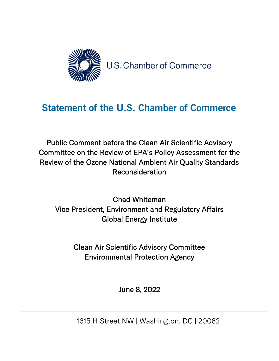

## **Statement of the U.S. Chamber of Commerce**

Public Comment before the Clean Air Scientific Advisory Committee on the Review of EPA's Policy Assessment for the Review of the Ozone National Ambient Air Quality Standards Reconsideration

Chad Whiteman Vice President, Environment and Regulatory Affairs Global Energy Institute

> Clean Air Scientific Advisory Committee Environmental Protection Agency

> > June 8, 2022

1615 H Street NW | Washington, DC | 20062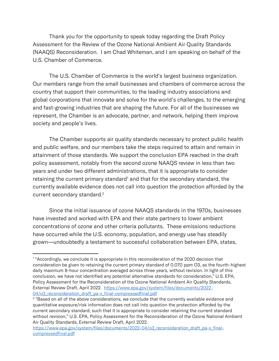Thank you for the opportunity to speak today regarding the Draft Policy Assessment for the Review of the Ozone National Ambient Air Quality Standards (NAAQS) Reconsideration. I am Chad Whiteman, and I am speaking on behalf of the U.S. Chamber of Commerce.

The U.S. Chamber of Commerce is the world's largest business organization. Our members range from the small businesses and chambers of commerce across the country that support their communities, to the leading industry associations and global corporations that innovate and solve for the world's challenges, to the emerging and fast-growing industries that are shaping the future. For all of the businesses we represent, the Chamber is an advocate, partner, and network, helping them improve society and people's lives.

The Chamber supports air quality standards necessary to protect public health and public welfare, and our members take the steps required to attain and remain in attainment of those standards. We support the conclusion EPA reached in the draft policy assessment, notably from the second ozone NAAQS review in less than two years and under two different administrations, that it is appropriate to consider retaining the current primary standard<sup>1</sup> and that for the secondary standard, the currently available evidence does not call into question the protection afforded by the current secondary standard.<sup>2</sup>

Since the initial issuance of ozone NAAQS standards in the 1970s, businesses have invested and worked with EPA and their state partners to lower ambient concentrations of ozone and other criteria pollutants. These emissions reductions have occurred while the U.S. economy, population, and energy use has steadily grown—undoubtedly a testament to successful collaboration between EPA, states,

<sup>1</sup> "Accordingly, we conclude it is appropriate in this reconsideration of the 2020 decision that consideration be given to retaining the current primary standard of 0.070 ppm O3, as the fourth-highest daily maximum 8-hour concentration averaged across three years, without revision. In light of this conclusion, we have not identified any potential alternative standards for consideration," U.S. EPA, Policy Assessment for the Reconsideration of the Ozone National Ambient Air Quality Standards, External Review Draft, April 2022. [https://www.epa.gov/system/files/documents/2022-](https://www.epa.gov/system/files/documents/2022-04/o3_reconsideration_draft_pa-v_final-compressedfinal.pdf) 04/o3 reconsideration draft pa-v final-compressedfinal.pdf

<sup>&</sup>lt;sup>2</sup> "Based on all of the above considerations, we conclude that the currently available evidence and quantitative exposure/risk information does not call into question the protection afforded by the current secondary standard, such that it is appropriate to consider retaining the current standard without revision," U.S. EPA, Policy Assessment for the Reconsideration of the Ozone National Ambient Air Quality Standards, External Review Draft, April 2022.

[https://www.epa.gov/system/files/documents/2022-04/o3\\_reconsideration\\_draft\\_pa-v\\_final](https://www.epa.gov/system/files/documents/2022-04/o3_reconsideration_draft_pa-v_final-compressedfinal.pdf)[compressedfinal.pdf](https://www.epa.gov/system/files/documents/2022-04/o3_reconsideration_draft_pa-v_final-compressedfinal.pdf)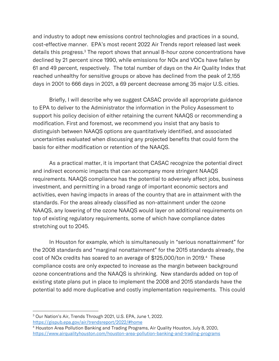and industry to adopt new emissions control technologies and practices in a sound, cost-effective manner. EPA's most recent 2022 Air Trends report released last week details this progress.<sup>3</sup> The report shows that annual 8-hour ozone concentrations have declined by 21 percent since 1990, while emissions for NOx and VOCs have fallen by 61 and 49 percent, respectively. The total number of days on the Air Quality Index that reached unhealthy for sensitive groups or above has declined from the peak of 2,155 days in 2001 to 666 days in 2021, a 69 percent decrease among 35 major U.S. cities.

Briefly, I will describe why we suggest CASAC provide all appropriate guidance to EPA to deliver to the Administrator the information in the Policy Assessment to support his policy decision of either retaining the current NAAQS or recommending a modification. First and foremost, we recommend you insist that any basis to distinguish between NAAQS options are quantitatively identified, and associated uncertainties evaluated when discussing any projected benefits that could form the basis for either modification or retention of the NAAQS.

As a practical matter, it is important that CASAC recognize the potential direct and indirect economic impacts that can accompany more stringent NAAQS requirements. NAAQS compliance has the potential to adversely affect jobs, business investment, and permitting in a broad range of important economic sectors and activities, even having impacts in areas of the country that are in attainment with the standards. For the areas already classified as non-attainment under the ozone NAAQS, any lowering of the ozone NAAQS would layer on additional requirements on top of existing regulatory requirements, some of which have compliance dates stretching out to 2045.

In Houston for example, which is simultaneously in "serious nonattainment" for the 2008 standards and "marginal nonattainment" for the 2015 standards already, the cost of NOx credits has soared to an average of \$125,000/ton in 2019.<sup>4</sup> These compliance costs are only expected to increase as the margin between background ozone concentrations and the NAAQS is shrinking. New standards added on top of existing state plans put in place to implement the 2008 and 2015 standards have the potential to add more duplicative and costly implementation requirements. This could

<sup>3</sup> Our Nation's Air, Trends Through 2021, U.S. EPA, June 1, 2022.

<https://gispub.epa.gov/air/trendsreport/2022/#home>

<sup>4</sup> Houston Area Pollution Banking and Trading Programs, Air Quality Houston, July 8, 2020, <https://www.airqualityhouston.com/houston-area-pollution-banking-and-trading-programs>